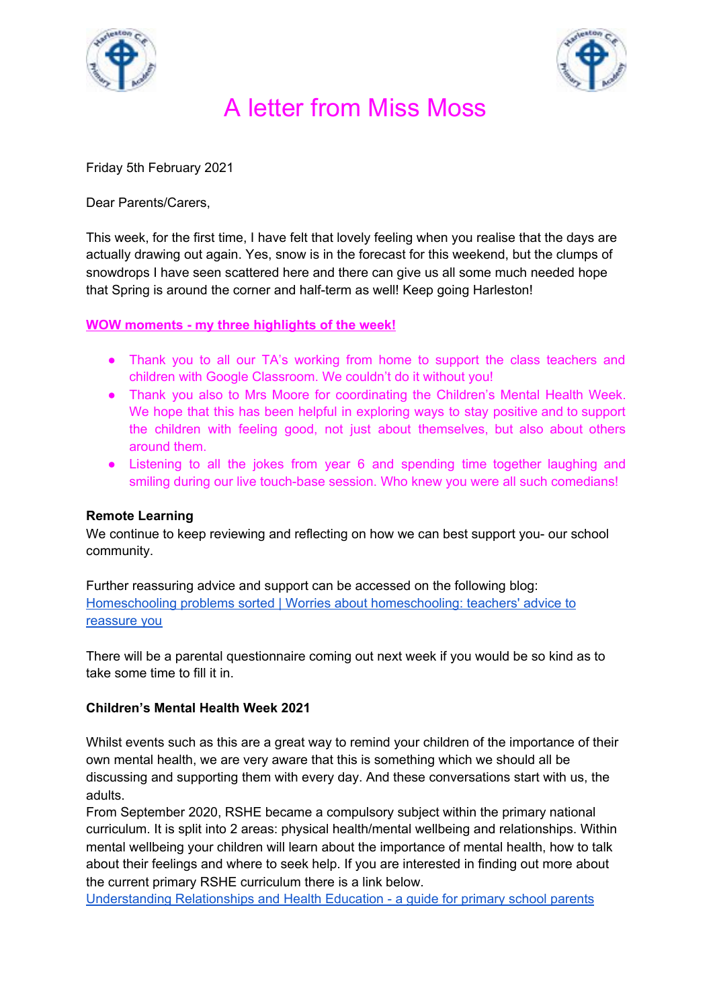



Friday 5th February 2021

Dear Parents/Carers,

This week, for the first time, I have felt that lovely feeling when you realise that the days are actually drawing out again. Yes, snow is in the forecast for this weekend, but the clumps of snowdrops I have seen scattered here and there can give us all some much needed hope that Spring is around the corner and half-term as well! Keep going Harleston!

**WOW moments - my three highlights of the week!**

- Thank you to all our TA's working from home to support the class teachers and children with Google Classroom. We couldn't do it without you!
- Thank you also to Mrs Moore for coordinating the Children's Mental Health Week. We hope that this has been helpful in exploring ways to stay positive and to support the children with feeling good, not just about themselves, but also about others around them.
- Listening to all the jokes from year 6 and spending time together laughing and smiling during our live touch-base session. Who knew you were all such comedians!

## **Remote Learning**

We continue to keep reviewing and reflecting on how we can best support you- our school community.

Further reassuring advice and support can be accessed on the following blog: Homeschooling problems sorted | Worries about [homeschooling:](https://www.theschoolrun.com/lockdown-homeschool-worries-sorted) teachers' advice to [reassure](https://www.theschoolrun.com/lockdown-homeschool-worries-sorted) you

There will be a parental questionnaire coming out next week if you would be so kind as to take some time to fill it in.

## **Children's Mental Health Week 2021**

Whilst events such as this are a great way to remind your children of the importance of their own mental health, we are very aware that this is something which we should all be discussing and supporting them with every day. And these conversations start with us, the adults.

From September 2020, RSHE became a compulsory subject within the primary national curriculum. It is split into 2 areas: physical health/mental wellbeing and relationships. Within mental wellbeing your children will learn about the importance of mental health, how to talk about their feelings and where to seek help. If you are interested in finding out more about the current primary RSHE curriculum there is a link below.

[Understanding](https://assets.publishing.service.gov.uk/government/uploads/system/uploads/attachment_data/file/907638/RSE_primary_schools_guide_for_parents.pdf) Relationships and Health Education - a guide for primary school parents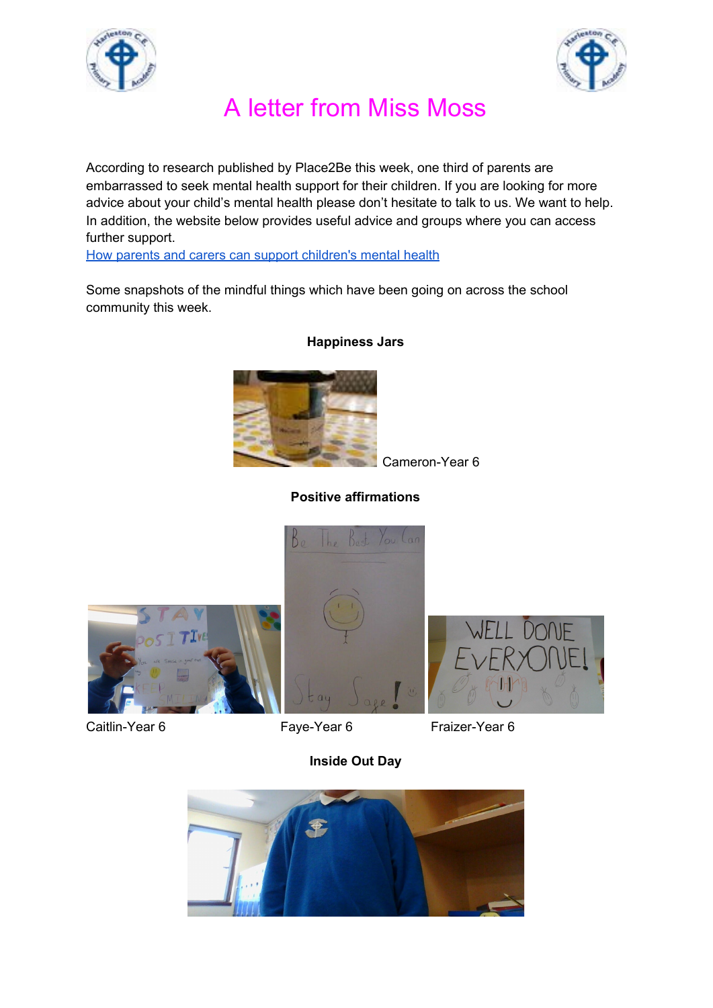



According to research published by Place2Be this week, one third of parents are embarrassed to seek mental health support for their children. If you are looking for more advice about your child's mental health please don't hesitate to talk to us. We want to help. In addition, the website below provides useful advice and groups where you can access further support.

How parents and carers can support [children's](https://www.childrensmentalhealthweek.org.uk/news/how-parents-and-carers-can-support-childrens-mental-health-and-wellbeing/) mental health

Some snapshots of the mindful things which have been going on across the school community this week.



**Happiness Jars**

Cameron-Year 6

## **Positive affirmations**







Caitlin-Year 6 Faye-Year 6 Fraizer-Year 6

**Inside Out Day**

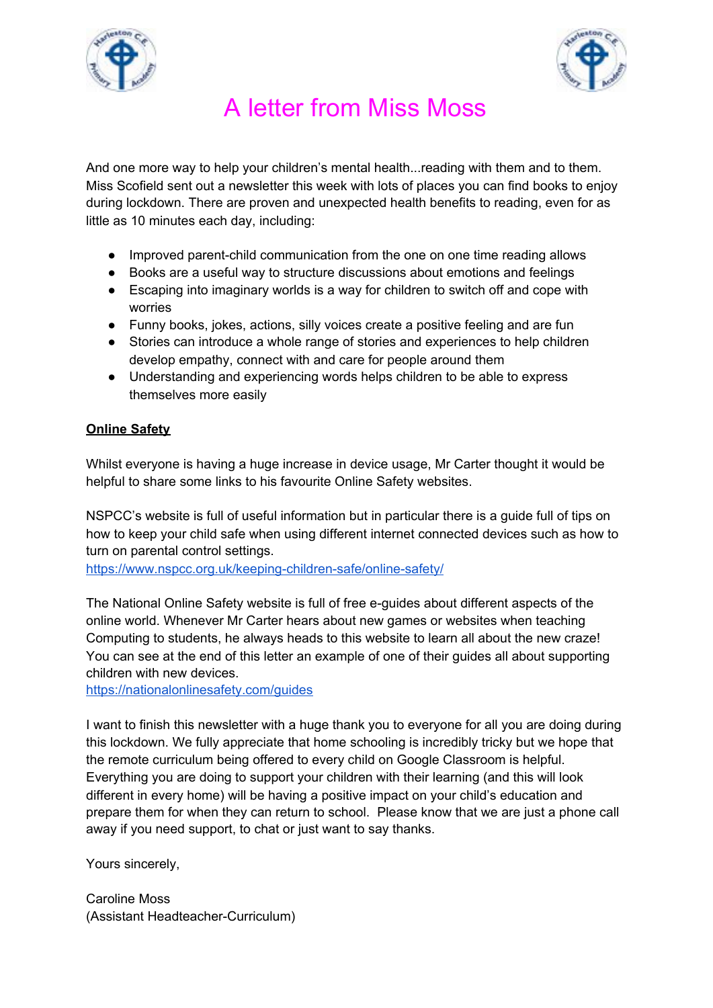



And one more way to help your children's mental health...reading with them and to them. Miss Scofield sent out a newsletter this week with lots of places you can find books to enjoy during lockdown. There are proven and unexpected health benefits to reading, even for as little as 10 minutes each day, including:

- Improved parent-child communication from the one on one time reading allows
- Books are a useful way to structure discussions about emotions and feelings
- Escaping into imaginary worlds is a way for children to switch off and cope with worries
- Funny books, jokes, actions, silly voices create a positive feeling and are fun
- Stories can introduce a whole range of stories and experiences to help children develop empathy, connect with and care for people around them
- Understanding and experiencing words helps children to be able to express themselves more easily

## **Online Safety**

Whilst everyone is having a huge increase in device usage, Mr Carter thought it would be helpful to share some links to his favourite Online Safety websites.

NSPCC's website is full of useful information but in particular there is a guide full of tips on how to keep your child safe when using different internet connected devices such as how to turn on parental control settings.

<https://www.nspcc.org.uk/keeping-children-safe/online-safety/>

The National Online Safety website is full of free e-guides about different aspects of the online world. Whenever Mr Carter hears about new games or websites when teaching Computing to students, he always heads to this website to learn all about the new craze! You can see at the end of this letter an example of one of their guides all about supporting children with new devices.

<https://nationalonlinesafety.com/guides>

I want to finish this newsletter with a huge thank you to everyone for all you are doing during this lockdown. We fully appreciate that home schooling is incredibly tricky but we hope that the remote curriculum being offered to every child on Google Classroom is helpful. Everything you are doing to support your children with their learning (and this will look different in every home) will be having a positive impact on your child's education and prepare them for when they can return to school. Please know that we are just a phone call away if you need support, to chat or just want to say thanks.

Yours sincerely,

Caroline Moss (Assistant Headteacher-Curriculum)